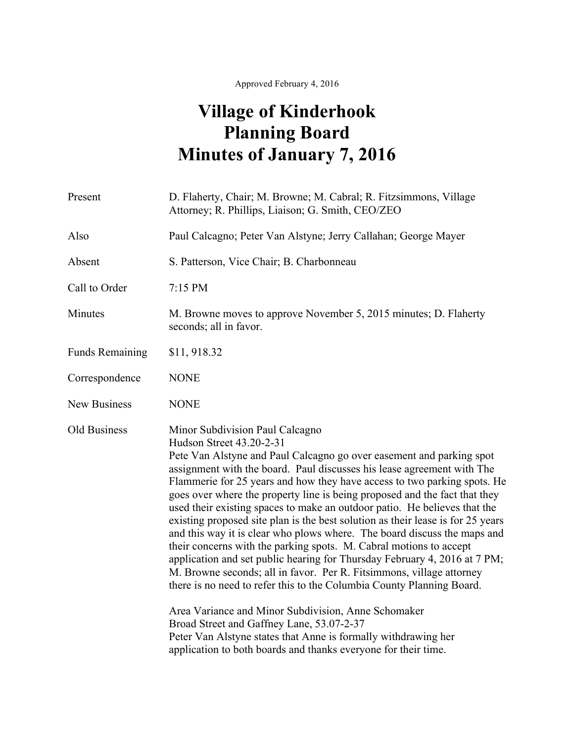Approved February 4, 2016

## **Village of Kinderhook Planning Board Minutes of January 7, 2016**

| Present                | D. Flaherty, Chair; M. Browne; M. Cabral; R. Fitzsimmons, Village<br>Attorney; R. Phillips, Liaison; G. Smith, CEO/ZEO                                                                                                                                                                                                                                                                                                                                                                                                                                                                                                                                                                                                                                                                                                                                                                                                                                                                                                                                                                                                                                          |
|------------------------|-----------------------------------------------------------------------------------------------------------------------------------------------------------------------------------------------------------------------------------------------------------------------------------------------------------------------------------------------------------------------------------------------------------------------------------------------------------------------------------------------------------------------------------------------------------------------------------------------------------------------------------------------------------------------------------------------------------------------------------------------------------------------------------------------------------------------------------------------------------------------------------------------------------------------------------------------------------------------------------------------------------------------------------------------------------------------------------------------------------------------------------------------------------------|
| Also                   | Paul Calcagno; Peter Van Alstyne; Jerry Callahan; George Mayer                                                                                                                                                                                                                                                                                                                                                                                                                                                                                                                                                                                                                                                                                                                                                                                                                                                                                                                                                                                                                                                                                                  |
| Absent                 | S. Patterson, Vice Chair; B. Charbonneau                                                                                                                                                                                                                                                                                                                                                                                                                                                                                                                                                                                                                                                                                                                                                                                                                                                                                                                                                                                                                                                                                                                        |
| Call to Order          | 7:15 PM                                                                                                                                                                                                                                                                                                                                                                                                                                                                                                                                                                                                                                                                                                                                                                                                                                                                                                                                                                                                                                                                                                                                                         |
| Minutes                | M. Browne moves to approve November 5, 2015 minutes; D. Flaherty<br>seconds; all in favor.                                                                                                                                                                                                                                                                                                                                                                                                                                                                                                                                                                                                                                                                                                                                                                                                                                                                                                                                                                                                                                                                      |
| <b>Funds Remaining</b> | \$11,918.32                                                                                                                                                                                                                                                                                                                                                                                                                                                                                                                                                                                                                                                                                                                                                                                                                                                                                                                                                                                                                                                                                                                                                     |
| Correspondence         | <b>NONE</b>                                                                                                                                                                                                                                                                                                                                                                                                                                                                                                                                                                                                                                                                                                                                                                                                                                                                                                                                                                                                                                                                                                                                                     |
| <b>New Business</b>    | <b>NONE</b>                                                                                                                                                                                                                                                                                                                                                                                                                                                                                                                                                                                                                                                                                                                                                                                                                                                                                                                                                                                                                                                                                                                                                     |
| Old Business           | Minor Subdivision Paul Calcagno<br>Hudson Street 43.20-2-31<br>Pete Van Alstyne and Paul Calcagno go over easement and parking spot<br>assignment with the board. Paul discusses his lease agreement with The<br>Flammerie for 25 years and how they have access to two parking spots. He<br>goes over where the property line is being proposed and the fact that they<br>used their existing spaces to make an outdoor patio. He believes that the<br>existing proposed site plan is the best solution as their lease is for 25 years<br>and this way it is clear who plows where. The board discuss the maps and<br>their concerns with the parking spots. M. Cabral motions to accept<br>application and set public hearing for Thursday February 4, 2016 at 7 PM;<br>M. Browne seconds; all in favor. Per R. Fitsimmons, village attorney<br>there is no need to refer this to the Columbia County Planning Board.<br>Area Variance and Minor Subdivision, Anne Schomaker<br>Broad Street and Gaffney Lane, 53.07-2-37<br>Peter Van Alstyne states that Anne is formally withdrawing her<br>application to both boards and thanks everyone for their time. |